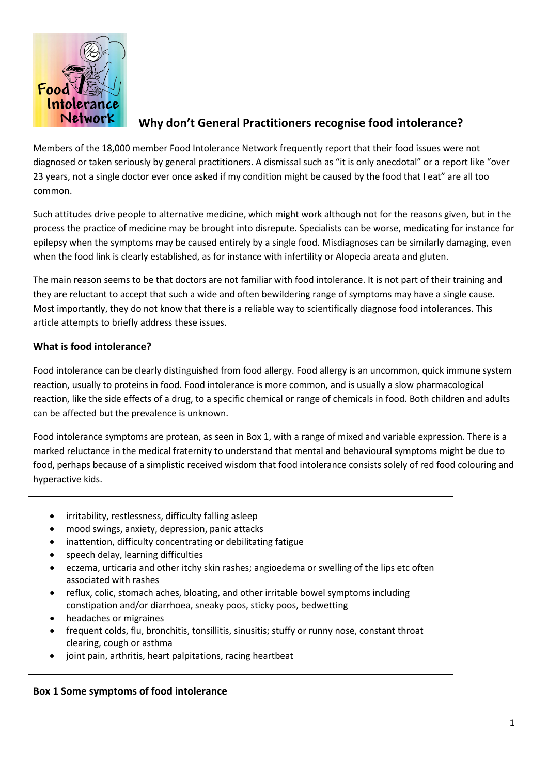

# **Why don't General Practitioners recognise food intolerance?**

Members of the 18,000 member Food Intolerance Network frequently report that their food issues were not diagnosed or taken seriously by general practitioners. A dismissal such as "it is only anecdotal" or a report like "over 23 years, not a single doctor ever once asked if my condition might be caused by the food that I eat" are all too common.

Such attitudes drive people to alternative medicine, which might work although not for the reasons given, but in the process the practice of medicine may be brought into disrepute. Specialists can be worse, medicating for instance for epilepsy when the symptoms may be caused entirely by a single food. Misdiagnoses can be similarly damaging, even when the food link is clearly established, as for instance with infertility or Alopecia areata and gluten.

The main reason seems to be that doctors are not familiar with food intolerance. It is not part of their training and they are reluctant to accept that such a wide and often bewildering range of symptoms may have a single cause. Most importantly, they do not know that there is a reliable way to scientifically diagnose food intolerances. This article attempts to briefly address these issues.

### **What is food intolerance?**

Food intolerance can be clearly distinguished from food allergy. Food allergy is an uncommon, quick immune system reaction, usually to proteins in food. Food intolerance is more common, and is usually a slow pharmacological reaction, like the side effects of a drug, to a specific chemical or range of chemicals in food. Both children and adults can be affected but the prevalence is unknown.

Food intolerance symptoms are protean, as seen in Box 1, with a range of mixed and variable expression. There is a marked reluctance in the medical fraternity to understand that mental and behavioural symptoms might be due to food, perhaps because of a simplistic received wisdom that food intolerance consists solely of red food colouring and hyperactive kids.

- irritability, restlessness, difficulty falling asleep
- mood swings, anxiety, depression, panic attacks
- inattention, difficulty concentrating or debilitating fatigue
- speech delay, learning difficulties
- eczema, urticaria and other itchy skin rashes; angioedema or swelling of the lips etc often associated with rashes
- reflux, colic, stomach aches, bloating, and other irritable bowel symptoms including constipation and/or diarrhoea, sneaky poos, sticky poos, bedwetting
- headaches or migraines
- frequent colds, flu, bronchitis, tonsillitis, sinusitis; stuffy or runny nose, constant throat clearing, cough or asthma
- joint pain, arthritis, heart palpitations, racing heartbeat

#### **Box 1 Some symptoms of food intolerance**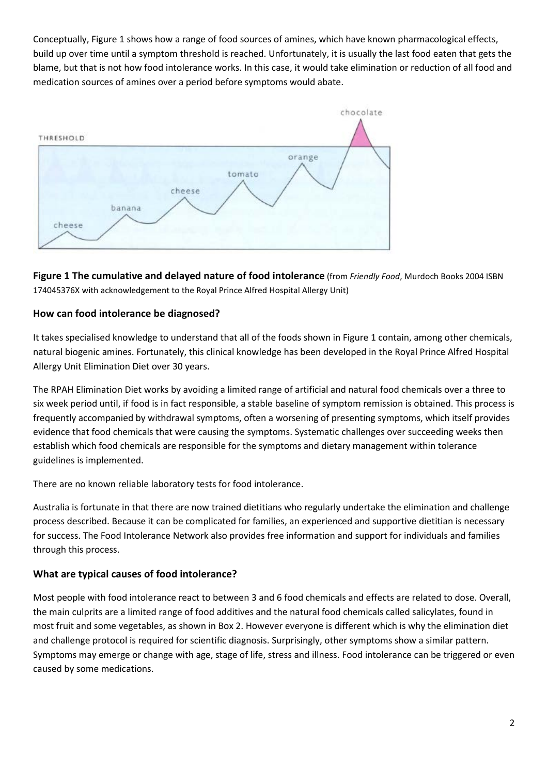Conceptually, Figure 1 shows how a range of food sources of amines, which have known pharmacological effects, build up over time until a symptom threshold is reached. Unfortunately, it is usually the last food eaten that gets the blame, but that is not how food intolerance works. In this case, it would take elimination or reduction of all food and medication sources of amines over a period before symptoms would abate.



**Figure 1 The cumulative and delayed nature of food intolerance** (from *Friendly Food*, Murdoch Books 2004 ISBN 174045376X with acknowledgement to the Royal Prince Alfred Hospital Allergy Unit)

### **How can food intolerance be diagnosed?**

It takes specialised knowledge to understand that all of the foods shown in Figure 1 contain, among other chemicals, natural biogenic amines. Fortunately, this clinical knowledge has been developed in the Royal Prince Alfred Hospital Allergy Unit Elimination Diet over 30 years.

The RPAH Elimination Diet works by avoiding a limited range of artificial and natural food chemicals over a three to six week period until, if food is in fact responsible, a stable baseline of symptom remission is obtained. This process is frequently accompanied by withdrawal symptoms, often a worsening of presenting symptoms, which itself provides evidence that food chemicals that were causing the symptoms. Systematic challenges over succeeding weeks then establish which food chemicals are responsible for the symptoms and dietary management within tolerance guidelines is implemented.

There are no known reliable laboratory tests for food intolerance.

Australia is fortunate in that there are now trained dietitians who regularly undertake the elimination and challenge process described. Because it can be complicated for families, an experienced and supportive dietitian is necessary for success. The Food Intolerance Network also provides free information and support for individuals and families through this process.

#### **What are typical causes of food intolerance?**

Most people with food intolerance react to between 3 and 6 food chemicals and effects are related to dose. Overall, the main culprits are a limited range of food additives and the natural food chemicals called salicylates, found in most fruit and some vegetables, as shown in Box 2. However everyone is different which is why the elimination diet and challenge protocol is required for scientific diagnosis. Surprisingly, other symptoms show a similar pattern. Symptoms may emerge or change with age, stage of life, stress and illness. Food intolerance can be triggered or even caused by some medications.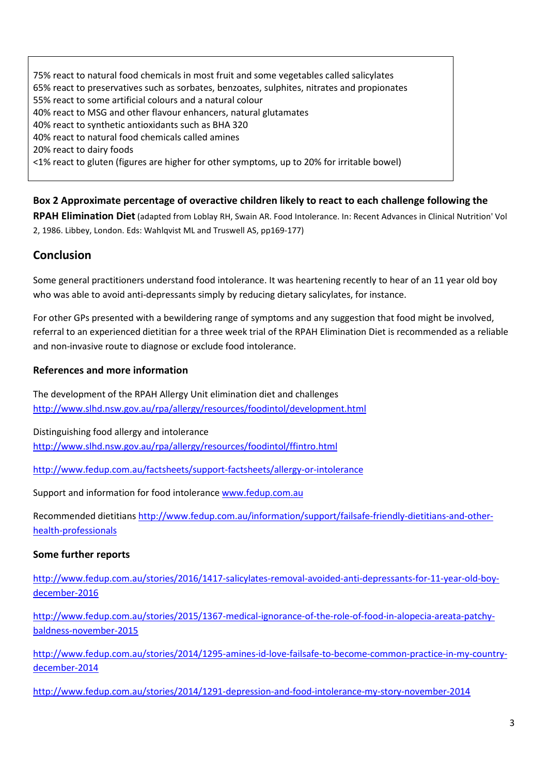75% react to natural food chemicals in most fruit and some vegetables called salicylates 65% react to preservatives such as sorbates, benzoates, sulphites, nitrates and propionates 55% react to some artificial colours and a natural colour 40% react to MSG and other flavour enhancers, natural glutamates 40% react to synthetic antioxidants such as BHA 320 40% react to natural food chemicals called amines 20% react to dairy foods <1% react to gluten (figures are higher for other symptoms, up to 20% for irritable bowel)

**Box 2 Approximate percentage of overactive children likely to react to each challenge following the** 

**RPAH Elimination Diet** (adapted from Loblay RH, Swain AR. Food Intolerance. In: Recent Advances in Clinical Nutrition' Vol 2, 1986. Libbey, London. Eds: Wahlqvist ML and Truswell AS, pp169-177)

## **Conclusion**

Some general practitioners understand food intolerance. It was heartening recently to hear of an 11 year old boy who was able to avoid anti-depressants simply by reducing dietary salicylates, for instance.

For other GPs presented with a bewildering range of symptoms and any suggestion that food might be involved, referral to an experienced dietitian for a three week trial of the RPAH Elimination Diet is recommended as a reliable and non-invasive route to diagnose or exclude food intolerance.

### **References and more information**

The development of the RPAH Allergy Unit elimination diet and challenges <http://www.slhd.nsw.gov.au/rpa/allergy/resources/foodintol/development.html>

Distinguishing food allergy and intolerance

<http://www.slhd.nsw.gov.au/rpa/allergy/resources/foodintol/ffintro.html>

<http://www.fedup.com.au/factsheets/support-factsheets/allergy-or-intolerance>

Support and information for food intolerance [www.fedup.com.au](http://www.fedup.com.au/)

Recommended dietitians [http://www.fedup.com.au/information/support/failsafe-friendly-dietitians-and-other](http://www.fedup.com.au/information/support/failsafe-friendly-dietitians-and-other-health-professionals)[health-professionals](http://www.fedup.com.au/information/support/failsafe-friendly-dietitians-and-other-health-professionals)

#### **Some further reports**

[http://www.fedup.com.au/stories/2016/1417-salicylates-removal-avoided-anti-depressants-for-11-year-old-boy](http://www.fedup.com.au/stories/2016/1417-salicylates-removal-avoided-anti-depressants-for-11-year-old-boy-december-2016)[december-2016](http://www.fedup.com.au/stories/2016/1417-salicylates-removal-avoided-anti-depressants-for-11-year-old-boy-december-2016)

[http://www.fedup.com.au/stories/2015/1367-medical-ignorance-of-the-role-of-food-in-alopecia-areata-patchy](http://www.fedup.com.au/stories/2015/1367-medical-ignorance-of-the-role-of-food-in-alopecia-areata-patchy-baldness-november-2015)[baldness-november-2015](http://www.fedup.com.au/stories/2015/1367-medical-ignorance-of-the-role-of-food-in-alopecia-areata-patchy-baldness-november-2015)

[http://www.fedup.com.au/stories/2014/1295-amines-id-love-failsafe-to-become-common-practice-in-my-country](http://www.fedup.com.au/stories/2014/1295-amines-id-love-failsafe-to-become-common-practice-in-my-country-december-2014)[december-2014](http://www.fedup.com.au/stories/2014/1295-amines-id-love-failsafe-to-become-common-practice-in-my-country-december-2014)

<http://www.fedup.com.au/stories/2014/1291-depression-and-food-intolerance-my-story-november-2014>